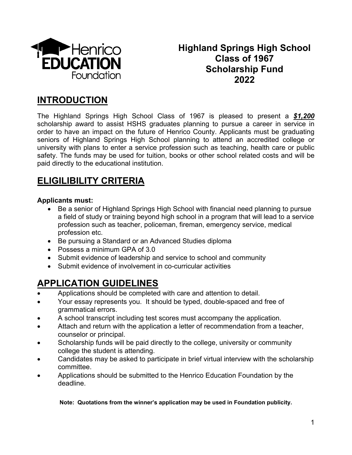

# **Highland Springs High School Class of 1967 Scholarship Fund 2022**

# **INTRODUCTION**

The Highland Springs High School Class of 1967 is pleased to present a *\$1,200* scholarship award to assist HSHS graduates planning to pursue a career in service in order to have an impact on the future of Henrico County. Applicants must be graduating seniors of Highland Springs High School planning to attend an accredited college or university with plans to enter a service profession such as teaching, health care or public safety. The funds may be used for tuition, books or other school related costs and will be paid directly to the educational institution.

# **ELIGILIBILITY CRITERIA**

## **Applicants must:**

- Be a senior of Highland Springs High School with financial need planning to pursue a field of study or training beyond high school in a program that will lead to a service profession such as teacher, policeman, fireman, emergency service, medical profession etc.
- Be pursuing a Standard or an Advanced Studies diploma
- Possess a minimum GPA of 3.0
- Submit evidence of leadership and service to school and community
- Submit evidence of involvement in co-curricular activities

# **APPLICATION GUIDELINES**

- Applications should be completed with care and attention to detail.
- Your essay represents you. It should be typed, double-spaced and free of grammatical errors.
- A school transcript including test scores must accompany the application.
- Attach and return with the application a letter of recommendation from a teacher, counselor or principal.
- Scholarship funds will be paid directly to the college, university or community college the student is attending.
- Candidates may be asked to participate in brief virtual interview with the scholarship committee.
- Applications should be submitted to the Henrico Education Foundation by the deadline.

### **Note: Quotations from the winner's application may be used in Foundation publicity.**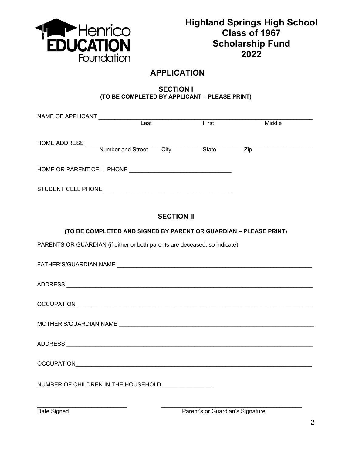

# **APPLICATION**

#### **SECTION I (TO BE COMPLETED BY APPLICANT – PLEASE PRINT)**

| NAME OF APPLICANT _____________                                           |                                                                   |                   |       |                  |  |
|---------------------------------------------------------------------------|-------------------------------------------------------------------|-------------------|-------|------------------|--|
|                                                                           | $\overline{\text{Last}}$                                          |                   | First | Middle           |  |
|                                                                           |                                                                   |                   |       |                  |  |
|                                                                           |                                                                   |                   |       |                  |  |
|                                                                           |                                                                   |                   |       | $\overline{Zip}$ |  |
|                                                                           |                                                                   |                   |       |                  |  |
|                                                                           |                                                                   |                   |       |                  |  |
|                                                                           |                                                                   |                   |       |                  |  |
|                                                                           |                                                                   |                   |       |                  |  |
|                                                                           |                                                                   |                   |       |                  |  |
|                                                                           |                                                                   |                   |       |                  |  |
|                                                                           |                                                                   | <b>SECTION II</b> |       |                  |  |
|                                                                           | (TO BE COMPLETED AND SIGNED BY PARENT OR GUARDIAN - PLEASE PRINT) |                   |       |                  |  |
| PARENTS OR GUARDIAN (if either or both parents are deceased, so indicate) |                                                                   |                   |       |                  |  |
|                                                                           |                                                                   |                   |       |                  |  |
|                                                                           |                                                                   |                   |       |                  |  |
|                                                                           |                                                                   |                   |       |                  |  |
|                                                                           |                                                                   |                   |       |                  |  |
|                                                                           |                                                                   |                   |       |                  |  |
|                                                                           |                                                                   |                   |       |                  |  |
|                                                                           |                                                                   |                   |       |                  |  |
|                                                                           |                                                                   |                   |       |                  |  |
|                                                                           |                                                                   |                   |       |                  |  |
|                                                                           |                                                                   |                   |       |                  |  |
|                                                                           |                                                                   |                   |       |                  |  |
|                                                                           |                                                                   |                   |       |                  |  |
|                                                                           |                                                                   |                   |       |                  |  |
|                                                                           |                                                                   |                   |       |                  |  |
|                                                                           |                                                                   |                   |       |                  |  |
|                                                                           |                                                                   |                   |       |                  |  |
|                                                                           |                                                                   |                   |       |                  |  |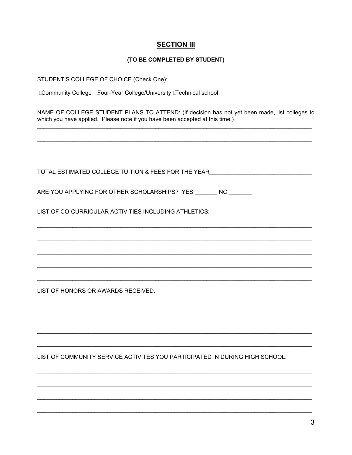### **SECTION III**

#### (TO BE COMPLETED BY STUDENT)

STUDENT'S COLLEGE OF CHOICE (Check One):

**Community College Four-Year College/University Technical school** 

NAME OF COLLEGE STUDENT PLANS TO ATTEND: (If decision has not yet been made, list colleges to which you have applied. Please note if you have been accepted at this time.)

TOTAL ESTIMATED COLLEGE TUITION & FEES FOR THE YEAR **THE YEAR** ARE YOU APPLYING FOR OTHER SCHOLARSHIPS? YES NO LIST OF CO-CURRICULAR ACTIVITIES INCLUDING ATHLETICS: LIST OF HONORS OR AWARDS RECEIVED: LIST OF COMMUNITY SERVICE ACTIVITES YOU PARTICIPATED IN DURING HIGH SCHOOL: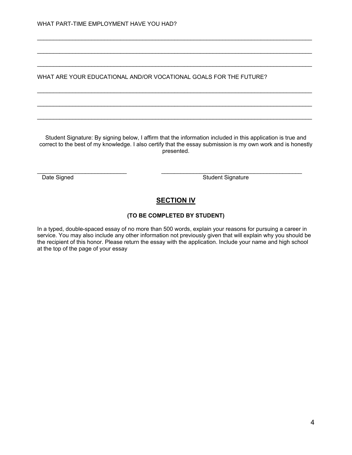WHAT ARE YOUR EDUCATIONAL AND/OR VOCATIONAL GOALS FOR THE FUTURE?

Student Signature: By signing below, I affirm that the information included in this application is true and correct to the best of my knowledge. I also certify that the essay submission is my own work and is honestly presented.

\_\_\_\_\_\_\_\_\_\_\_\_\_\_\_\_\_\_\_\_\_\_\_\_\_\_\_\_\_\_\_\_\_\_\_\_\_\_\_\_\_\_\_\_\_\_\_\_\_\_\_\_\_\_\_\_\_\_\_\_\_\_\_\_\_\_\_\_\_\_\_\_\_\_\_\_\_\_\_\_\_\_\_\_\_\_

\_\_\_\_\_\_\_\_\_\_\_\_\_\_\_\_\_\_\_\_\_\_\_\_\_\_\_\_\_\_\_\_\_\_\_\_\_\_\_\_\_\_\_\_\_\_\_\_\_\_\_\_\_\_\_\_\_\_\_\_\_\_\_\_\_\_\_\_\_\_\_\_\_\_\_\_\_\_\_\_\_\_\_\_\_\_

\_\_\_\_\_\_\_\_\_\_\_\_\_\_\_\_\_\_\_\_\_\_\_\_\_\_\_\_\_\_\_\_\_\_\_\_\_\_\_\_\_\_\_\_\_\_\_\_\_\_\_\_\_\_\_\_\_\_\_\_\_\_\_\_\_\_\_\_\_\_\_\_\_\_\_\_\_\_\_\_\_\_\_\_\_\_

\_\_\_\_\_\_\_\_\_\_\_\_\_\_\_\_\_\_\_\_\_\_\_\_\_\_\_\_\_\_\_\_\_\_\_\_\_\_\_\_\_\_\_\_\_\_\_\_\_\_\_\_\_\_\_\_\_\_\_\_\_\_\_\_\_\_\_\_\_\_\_\_\_\_\_\_\_\_\_\_\_\_\_\_\_\_

\_\_\_\_\_\_\_\_\_\_\_\_\_\_\_\_\_\_\_\_\_\_\_\_\_\_\_\_\_\_\_\_\_\_\_\_\_\_\_\_\_\_\_\_\_\_\_\_\_\_\_\_\_\_\_\_\_\_\_\_\_\_\_\_\_\_\_\_\_\_\_\_\_\_\_\_\_\_\_\_\_\_\_\_\_\_

\_\_\_\_\_\_\_\_\_\_\_\_\_\_\_\_\_\_\_\_\_\_\_\_\_\_\_\_\_\_\_\_\_\_\_\_\_\_\_\_\_\_\_\_\_\_\_\_\_\_\_\_\_\_\_\_\_\_\_\_\_\_\_\_\_\_\_\_\_\_\_\_\_\_\_\_\_\_\_\_\_\_\_\_\_\_

\_\_\_\_\_\_\_\_\_\_\_\_\_\_\_\_\_\_\_\_\_\_\_\_\_\_\_\_ \_\_\_\_\_\_\_\_\_\_\_\_\_\_\_\_\_\_\_\_\_\_\_\_\_\_\_\_\_\_\_\_\_\_\_\_\_\_\_\_\_\_\_\_

Date Signed Student Signature Charles Student Signature

## **SECTION IV**

#### **(TO BE COMPLETED BY STUDENT)**

In a typed, double-spaced essay of no more than 500 words, explain your reasons for pursuing a career in service. You may also include any other information not previously given that will explain why you should be the recipient of this honor. Please return the essay with the application. Include your name and high school at the top of the page of your essay